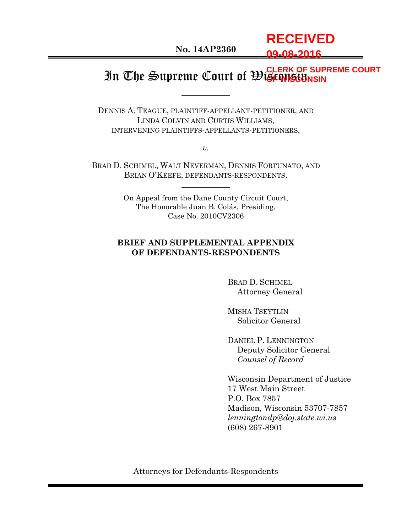# **RECEIVED 09-08-2016**

#### In The Supreme Court of Wisconsin **CLERK OF SUPREME COURT OF WISCONSIN**

DENNIS A. TEAGUE, PLAINTIFF-APPELLANT-PETITIONER, AND LINDA COLVIN AND CURTIS WILLIAMS, INTERVENING PLAINTIFFS-APPELLANTS-PETITIONERS,

*v.*

BRAD D. SCHIMEL, WALT NEVERMAN, DENNIS FORTUNATO, AND BRIAN O'KEEFE, DEFENDANTS-RESPONDENTS.

> On Appeal from the Dane County Circuit Court, The Honorable Juan B. Colás, Presiding, Case No. 2010CV2306

## **BRIEF AND SUPPLEMENTAL APPENDIX OF DEFENDANTS-RESPONDENTS**

BRAD D. SCHIMEL Attorney General

MISHA TSEYTLIN Solicitor General

DANIEL P. LENNINGTON Deputy Solicitor General *Counsel of Record*

Wisconsin Department of Justice 17 West Main Street P.O. Box 7857 Madison, Wisconsin 53707-7857 *lenningtondp@doj.state.wi.us* (608) 267-8901

Attorneys for Defendants-Respondents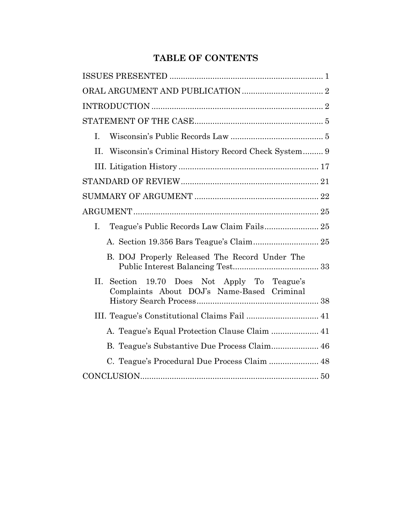# **TABLE OF CONTENTS**

| I.                                                                                            |
|-----------------------------------------------------------------------------------------------|
| II.<br>Wisconsin's Criminal History Record Check System 9                                     |
|                                                                                               |
|                                                                                               |
|                                                                                               |
|                                                                                               |
| L.                                                                                            |
|                                                                                               |
| B. DOJ Properly Released The Record Under The                                                 |
| Section 19.70 Does Not Apply To Teague's<br>II.<br>Complaints About DOJ's Name-Based Criminal |
|                                                                                               |
| A. Teague's Equal Protection Clause Claim  41                                                 |
| B. Teague's Substantive Due Process Claim 46                                                  |
| C. Teague's Procedural Due Process Claim  48                                                  |
|                                                                                               |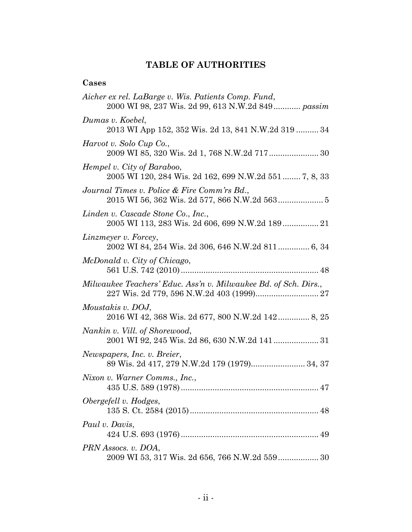# **TABLE OF AUTHORITIES**

# **Cases**

| Aicher ex rel. LaBarge v. Wis. Patients Comp. Fund,<br>2000 WI 98, 237 Wis. 2d 99, 613 N.W.2d 849 passim |
|----------------------------------------------------------------------------------------------------------|
| Dumas v. Koebel,<br>2013 WI App 152, 352 Wis. 2d 13, 841 N.W.2d 319  34                                  |
| Harvot v. Solo Cup Co.,<br>2009 WI 85, 320 Wis. 2d 1, 768 N.W.2d 717 30                                  |
| Hempel v. City of Baraboo,<br>2005 WI 120, 284 Wis. 2d 162, 699 N.W.2d 551 7, 8, 33                      |
| Journal Times v. Police & Fire Comm'rs Bd.,                                                              |
| Linden v. Cascade Stone Co., Inc.,                                                                       |
| Linzmeyer v. Forcey,<br>2002 WI 84, 254 Wis. 2d 306, 646 N.W.2d 811 6, 34                                |
| McDonald v. City of Chicago,                                                                             |
| Milwaukee Teachers' Educ. Ass'n v. Milwaukee Bd. of Sch. Dirs.,                                          |
| Moustakis v. DOJ,<br>2016 WI 42, 368 Wis. 2d 677, 800 N.W.2d 142 8, 25                                   |
| Nankin v. Vill. of Shorewood,                                                                            |
| Newspapers, Inc. v. Breier,<br>89 Wis. 2d 417, 279 N.W.2d 179 (1979) 34, 37                              |
| Nixon v. Warner Comms., Inc.,                                                                            |
| Obergefell v. Hodges,                                                                                    |
| Paul v. Davis,                                                                                           |
| PRN Assocs. v. DOA,                                                                                      |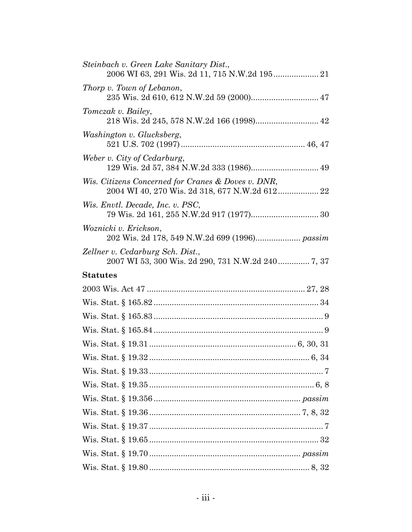| Steinbach v. Green Lake Sanitary Dist.,                                                              |
|------------------------------------------------------------------------------------------------------|
| Thorp v. Town of Lebanon,                                                                            |
| Tomczak v. Bailey,<br>218 Wis. 2d 245, 578 N.W.2d 166 (1998) 42                                      |
| Washington v. Glucksberg,                                                                            |
| Weber v. City of Cedarburg,                                                                          |
| Wis. Citizens Concerned for Cranes & Doves v. DNR,<br>2004 WI 40, 270 Wis. 2d 318, 677 N.W.2d 612 22 |
| Wis. Envtl. Decade, Inc. v. PSC,                                                                     |
| Woznicki v. Erickson,                                                                                |
| Zellner v. Cedarburg Sch. Dist.,<br>2007 WI 53, 300 Wis. 2d 290, 731 N.W.2d 240  7, 37               |
| <b>Statutes</b>                                                                                      |
|                                                                                                      |
|                                                                                                      |
|                                                                                                      |
|                                                                                                      |
|                                                                                                      |
|                                                                                                      |
|                                                                                                      |
|                                                                                                      |
|                                                                                                      |
|                                                                                                      |
|                                                                                                      |
|                                                                                                      |
|                                                                                                      |
|                                                                                                      |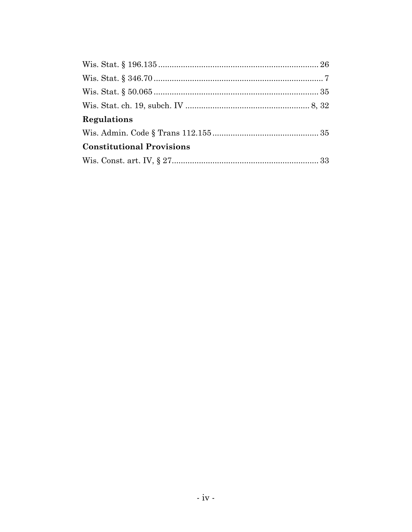| Regulations                      |  |
|----------------------------------|--|
|                                  |  |
| <b>Constitutional Provisions</b> |  |
|                                  |  |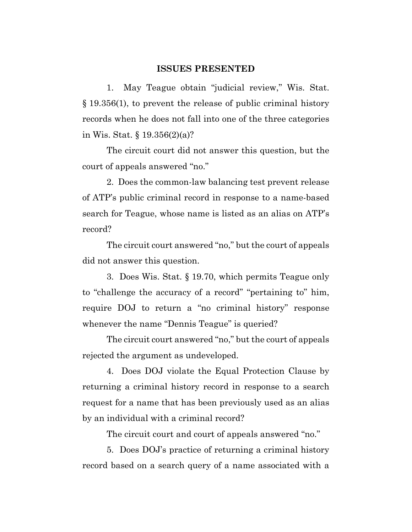#### **ISSUES PRESENTED**

1. May Teague obtain "judicial review," Wis. Stat. § 19.356(1), to prevent the release of public criminal history records when he does not fall into one of the three categories in Wis. Stat. § 19.356(2)(a)?

The circuit court did not answer this question, but the court of appeals answered "no."

2. Does the common-law balancing test prevent release of ATP's public criminal record in response to a name-based search for Teague, whose name is listed as an alias on ATP's record?

The circuit court answered "no," but the court of appeals did not answer this question.

3. Does Wis. Stat. § 19.70, which permits Teague only to "challenge the accuracy of a record" "pertaining to" him, require DOJ to return a "no criminal history" response whenever the name "Dennis Teague" is queried?

The circuit court answered "no," but the court of appeals rejected the argument as undeveloped.

4. Does DOJ violate the Equal Protection Clause by returning a criminal history record in response to a search request for a name that has been previously used as an alias by an individual with a criminal record?

The circuit court and court of appeals answered "no."

5. Does DOJ's practice of returning a criminal history record based on a search query of a name associated with a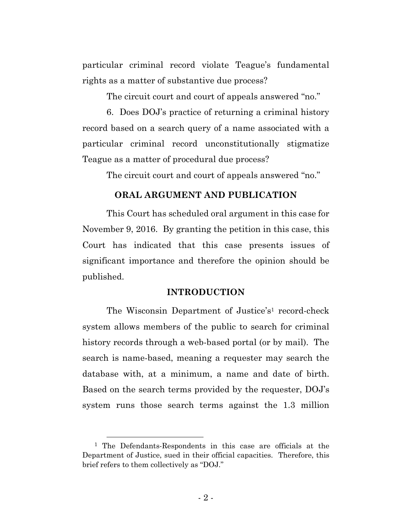particular criminal record violate Teague's fundamental rights as a matter of substantive due process?

The circuit court and court of appeals answered "no."

6. Does DOJ's practice of returning a criminal history record based on a search query of a name associated with a particular criminal record unconstitutionally stigmatize Teague as a matter of procedural due process?

The circuit court and court of appeals answered "no."

#### **ORAL ARGUMENT AND PUBLICATION**

This Court has scheduled oral argument in this case for November 9, 2016. By granting the petition in this case, this Court has indicated that this case presents issues of significant importance and therefore the opinion should be published.

#### **INTRODUCTION**

The Wisconsin Department of Justice's<sup>1</sup> record-check system allows members of the public to search for criminal history records through a web-based portal (or by mail). The search is name-based, meaning a requester may search the database with, at a minimum, a name and date of birth. Based on the search terms provided by the requester, DOJ's system runs those search terms against the 1.3 million

 <sup>1</sup> The Defendants-Respondents in this case are officials at the Department of Justice, sued in their official capacities. Therefore, this brief refers to them collectively as "DOJ."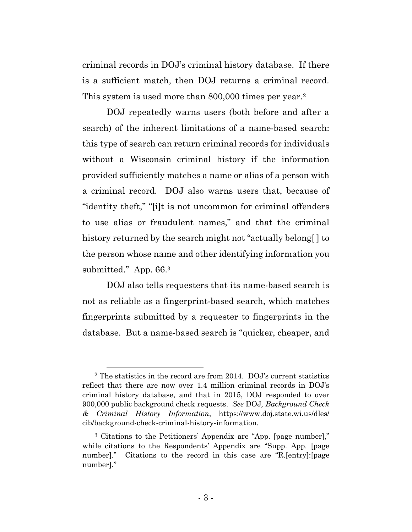criminal records in DOJ's criminal history database. If there is a sufficient match, then DOJ returns a criminal record. This system is used more than 800,000 times per year.<sup>2</sup>

DOJ repeatedly warns users (both before and after a search) of the inherent limitations of a name-based search: this type of search can return criminal records for individuals without a Wisconsin criminal history if the information provided sufficiently matches a name or alias of a person with a criminal record. DOJ also warns users that, because of "identity theft," "[i]t is not uncommon for criminal offenders to use alias or fraudulent names," and that the criminal history returned by the search might not "actually belong. I to the person whose name and other identifying information you submitted." App. 66.<sup>3</sup>

DOJ also tells requesters that its name-based search is not as reliable as a fingerprint-based search, which matches fingerprints submitted by a requester to fingerprints in the database. But a name-based search is "quicker, cheaper, and

 <sup>2</sup> The statistics in the record are from 2014. DOJ's current statistics reflect that there are now over 1.4 million criminal records in DOJ's criminal history database, and that in 2015, DOJ responded to over 900,000 public background check requests. *See* DOJ*, Background Check & Criminal History Information*, https://www.doj.state.wi.us/dles/ cib/background-check-criminal-history-information.

<sup>3</sup> Citations to the Petitioners' Appendix are "App. [page number]," while citations to the Respondents' Appendix are "Supp. App. [page number]." Citations to the record in this case are "R.[entry]: [page number]."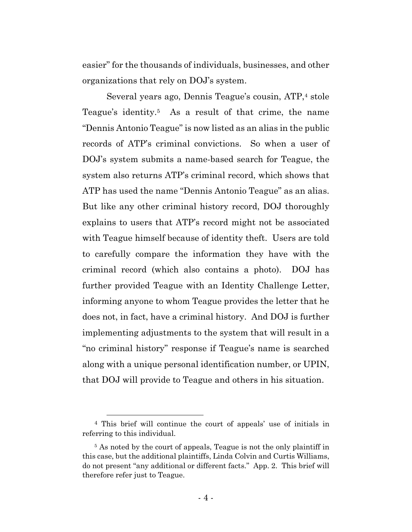easier" for the thousands of individuals, businesses, and other organizations that rely on DOJ's system.

Several years ago, Dennis Teague's cousin, ATP,4 stole Teague's identity.5 As a result of that crime, the name "Dennis Antonio Teague" is now listed as an alias in the public records of ATP's criminal convictions. So when a user of DOJ's system submits a name-based search for Teague, the system also returns ATP's criminal record, which shows that ATP has used the name "Dennis Antonio Teague" as an alias. But like any other criminal history record, DOJ thoroughly explains to users that ATP's record might not be associated with Teague himself because of identity theft. Users are told to carefully compare the information they have with the criminal record (which also contains a photo). DOJ has further provided Teague with an Identity Challenge Letter, informing anyone to whom Teague provides the letter that he does not, in fact, have a criminal history. And DOJ is further implementing adjustments to the system that will result in a "no criminal history" response if Teague's name is searched along with a unique personal identification number, or UPIN, that DOJ will provide to Teague and others in his situation.

 <sup>4</sup> This brief will continue the court of appeals' use of initials in referring to this individual.

<sup>&</sup>lt;sup>5</sup> As noted by the court of appeals, Teague is not the only plaintiff in this case, but the additional plaintiffs, Linda Colvin and Curtis Williams, do not present "any additional or different facts." App. 2. This brief will therefore refer just to Teague.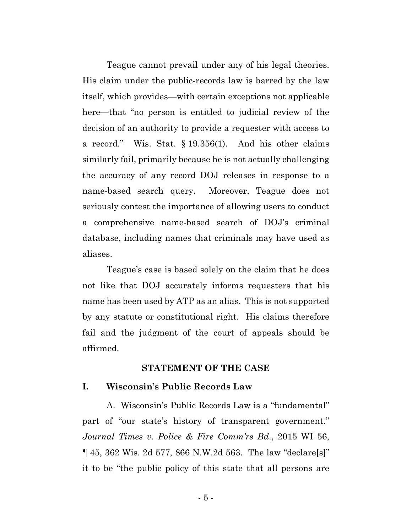Teague cannot prevail under any of his legal theories. His claim under the public-records law is barred by the law itself, which provides—with certain exceptions not applicable here—that "no person is entitled to judicial review of the decision of an authority to provide a requester with access to a record." Wis. Stat. § 19.356(1). And his other claims similarly fail, primarily because he is not actually challenging the accuracy of any record DOJ releases in response to a name-based search query. Moreover, Teague does not seriously contest the importance of allowing users to conduct a comprehensive name-based search of DOJ's criminal database, including names that criminals may have used as aliases.

Teague's case is based solely on the claim that he does not like that DOJ accurately informs requesters that his name has been used by ATP as an alias. This is not supported by any statute or constitutional right. His claims therefore fail and the judgment of the court of appeals should be affirmed.

#### **STATEMENT OF THE CASE**

#### **I. Wisconsin's Public Records Law**

A. Wisconsin's Public Records Law is a "fundamental" part of "our state's history of transparent government." *Journal Times v. Police & Fire Comm'rs Bd*., 2015 WI 56, ¶ 45, 362 Wis. 2d 577, 866 N.W.2d 563. The law "declare[s]" it to be "the public policy of this state that all persons are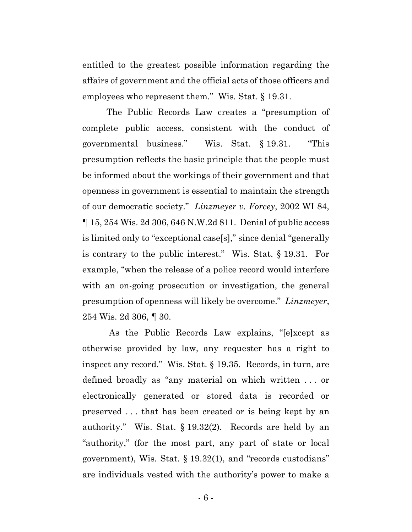entitled to the greatest possible information regarding the affairs of government and the official acts of those officers and employees who represent them." Wis. Stat. § 19.31.

The Public Records Law creates a "presumption of complete public access, consistent with the conduct of governmental business." Wis. Stat. § 19.31. "This presumption reflects the basic principle that the people must be informed about the workings of their government and that openness in government is essential to maintain the strength of our democratic society." *Linzmeyer v. Forcey*, 2002 WI 84, ¶ 15, 254 Wis. 2d 306, 646 N.W.2d 811. Denial of public access is limited only to "exceptional case[s]," since denial "generally is contrary to the public interest." Wis. Stat. § 19.31. For example, "when the release of a police record would interfere with an on-going prosecution or investigation, the general presumption of openness will likely be overcome." *Linzmeyer*, 254 Wis. 2d 306, ¶ 30.

As the Public Records Law explains, "[e]xcept as otherwise provided by law, any requester has a right to inspect any record." Wis. Stat. § 19.35. Records, in turn, are defined broadly as "any material on which written . . . or electronically generated or stored data is recorded or preserved . . . that has been created or is being kept by an authority." Wis. Stat. § 19.32(2). Records are held by an "authority," (for the most part, any part of state or local government), Wis. Stat. § 19.32(1), and "records custodians" are individuals vested with the authority's power to make a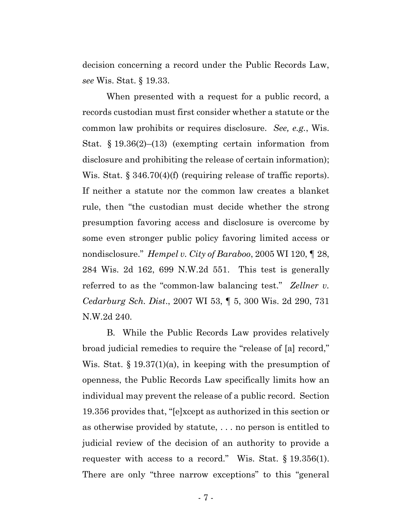decision concerning a record under the Public Records Law, *see* Wis. Stat. § 19.33.

When presented with a request for a public record, a records custodian must first consider whether a statute or the common law prohibits or requires disclosure. *See, e.g.*, Wis. Stat. § 19.36(2)–(13) (exempting certain information from disclosure and prohibiting the release of certain information); Wis. Stat. § 346.70(4)(f) (requiring release of traffic reports). If neither a statute nor the common law creates a blanket rule, then "the custodian must decide whether the strong presumption favoring access and disclosure is overcome by some even stronger public policy favoring limited access or nondisclosure." *Hempel v. City of Baraboo*, 2005 WI 120, ¶ 28, 284 Wis. 2d 162, 699 N.W.2d 551. This test is generally referred to as the "common-law balancing test." *Zellner v. Cedarburg Sch. Dist*., 2007 WI 53, ¶ 5, 300 Wis. 2d 290, 731 N.W.2d 240.

B. While the Public Records Law provides relatively broad judicial remedies to require the "release of [a] record," Wis. Stat. § 19.37(1)(a), in keeping with the presumption of openness, the Public Records Law specifically limits how an individual may prevent the release of a public record. Section 19.356 provides that, "[e]xcept as authorized in this section or as otherwise provided by statute, . . . no person is entitled to judicial review of the decision of an authority to provide a requester with access to a record." Wis. Stat. § 19.356(1). There are only "three narrow exceptions" to this "general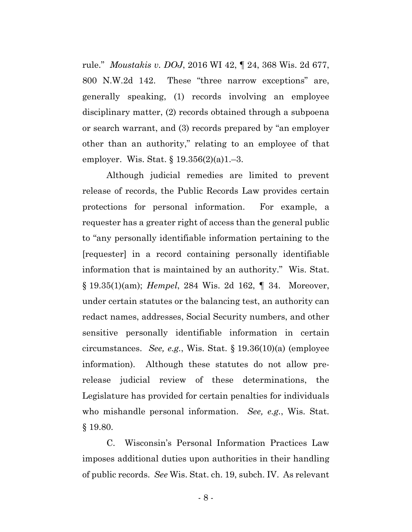rule." *Moustakis v. DOJ*, 2016 WI 42, ¶ 24, 368 Wis. 2d 677, 800 N.W.2d 142. These "three narrow exceptions" are, generally speaking, (1) records involving an employee disciplinary matter, (2) records obtained through a subpoena or search warrant, and (3) records prepared by "an employer other than an authority," relating to an employee of that employer. Wis. Stat. § 19.356(2)(a)1.–3.

Although judicial remedies are limited to prevent release of records, the Public Records Law provides certain protections for personal information. For example, a requester has a greater right of access than the general public to "any personally identifiable information pertaining to the [requester] in a record containing personally identifiable information that is maintained by an authority." Wis. Stat. § 19.35(1)(am); *Hempel*, 284 Wis. 2d 162, ¶ 34. Moreover, under certain statutes or the balancing test, an authority can redact names, addresses, Social Security numbers, and other sensitive personally identifiable information in certain circumstances. *See, e.g.*, Wis. Stat. § 19.36(10)(a) (employee information). Although these statutes do not allow prerelease judicial review of these determinations, the Legislature has provided for certain penalties for individuals who mishandle personal information. *See, e.g.*, Wis. Stat. § 19.80.

C. Wisconsin's Personal Information Practices Law imposes additional duties upon authorities in their handling of public records. *See* Wis. Stat. ch. 19, subch. IV. As relevant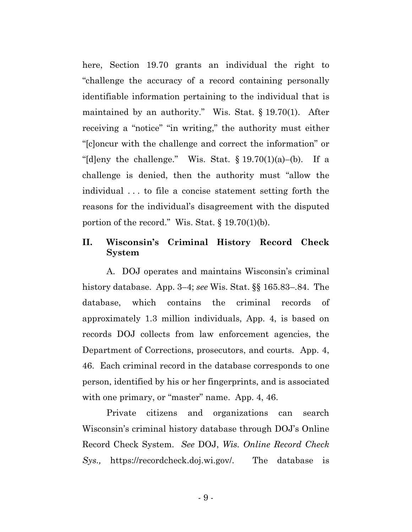here, Section 19.70 grants an individual the right to "challenge the accuracy of a record containing personally identifiable information pertaining to the individual that is maintained by an authority." Wis. Stat. § 19.70(1). After receiving a "notice" "in writing," the authority must either "[c]oncur with the challenge and correct the information" or "[d]eny the challenge." Wis. Stat.  $\S 19.70(1)(a)$ -(b). If a challenge is denied, then the authority must "allow the individual . . . to file a concise statement setting forth the reasons for the individual's disagreement with the disputed portion of the record." Wis. Stat.  $\S 19.70(1)(b)$ .

# **II. Wisconsin's Criminal History Record Check System**

A. DOJ operates and maintains Wisconsin's criminal history database. App. 3–4; *see* Wis. Stat. §§ 165.83–.84. The database, which contains the criminal records of approximately 1.3 million individuals, App. 4, is based on records DOJ collects from law enforcement agencies, the Department of Corrections, prosecutors, and courts. App. 4, 46. Each criminal record in the database corresponds to one person, identified by his or her fingerprints, and is associated with one primary, or "master" name. App. 4, 46.

Private citizens and organizations can search Wisconsin's criminal history database through DOJ's Online Record Check System. *See* DOJ, *Wis. Online Record Check Sys.,* https://recordcheck.doj.wi.gov/. The database is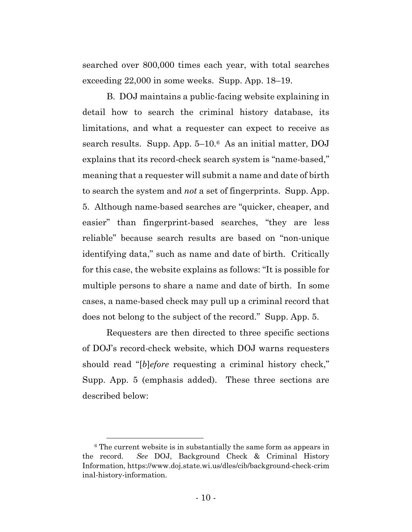searched over 800,000 times each year, with total searches exceeding 22,000 in some weeks. Supp. App. 18–19.

B. DOJ maintains a public-facing website explaining in detail how to search the criminal history database, its limitations, and what a requester can expect to receive as search results. Supp. App. 5–10.6As an initial matter, DOJ explains that its record-check search system is "name-based," meaning that a requester will submit a name and date of birth to search the system and *not* a set of fingerprints. Supp. App. 5. Although name-based searches are "quicker, cheaper, and easier" than fingerprint-based searches, "they are less reliable" because search results are based on "non-unique identifying data," such as name and date of birth. Critically for this case, the website explains as follows: "It is possible for multiple persons to share a name and date of birth. In some cases, a name-based check may pull up a criminal record that does not belong to the subject of the record." Supp. App. 5.

Requesters are then directed to three specific sections of DOJ's record-check website, which DOJ warns requesters should read "[*b*]*efore* requesting a criminal history check," Supp. App. 5 (emphasis added). These three sections are described below:

<sup>&</sup>lt;sup>6</sup> The current website is in substantially the same form as appears in the record. *See* DOJ, Background Check & Criminal History Information, https://www.doj.state.wi.us/dles/cib/background-check-crim inal-history-information.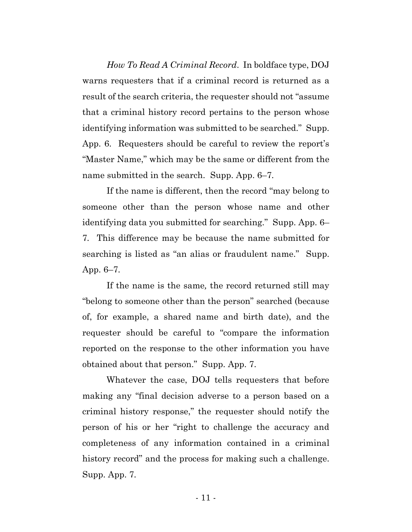*How To Read A Criminal Record*. In boldface type, DOJ warns requesters that if a criminal record is returned as a result of the search criteria, the requester should not "assume that a criminal history record pertains to the person whose identifying information was submitted to be searched." Supp. App. 6. Requesters should be careful to review the report's "Master Name," which may be the same or different from the name submitted in the search. Supp. App. 6–7*.*

If the name is different, then the record "may belong to someone other than the person whose name and other identifying data you submitted for searching." Supp. App. 6– 7*.* This difference may be because the name submitted for searching is listed as "an alias or fraudulent name." Supp. App. 6–7*.* 

If the name is the same*,* the record returned still may "belong to someone other than the person" searched (because of, for example, a shared name and birth date), and the requester should be careful to "compare the information reported on the response to the other information you have obtained about that person." Supp. App. 7.

Whatever the case, DOJ tells requesters that before making any "final decision adverse to a person based on a criminal history response," the requester should notify the person of his or her "right to challenge the accuracy and completeness of any information contained in a criminal history record" and the process for making such a challenge. Supp. App. 7*.*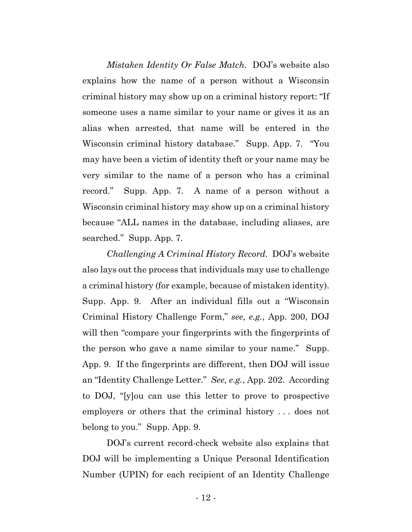*Mistaken Identity Or False Match*. DOJ's website also explains how the name of a person without a Wisconsin criminal history may show up on a criminal history report: "If someone uses a name similar to your name or gives it as an alias when arrested, that name will be entered in the Wisconsin criminal history database." Supp. App. 7. "You may have been a victim of identity theft or your name may be very similar to the name of a person who has a criminal record." Supp. App. 7*.* A name of a person without a Wisconsin criminal history may show up on a criminal history because "ALL names in the database, including aliases, are searched." Supp. App. 7*.*

*Challenging A Criminal History Record*. DOJ's website also lays out the process that individuals may use to challenge a criminal history (for example, because of mistaken identity). Supp. App. 9. After an individual fills out a "Wisconsin Criminal History Challenge Form," *see, e.g.*, App. 200, DOJ will then "compare your fingerprints with the fingerprints of the person who gave a name similar to your name." Supp. App. 9. If the fingerprints are different, then DOJ will issue an "Identity Challenge Letter." *See, e.g.*, App. 202. According to DOJ, "[y]ou can use this letter to prove to prospective employers or others that the criminal history . . . does not belong to you." Supp. App. 9.

DOJ's current record-check website also explains that DOJ will be implementing a Unique Personal Identification Number (UPIN) for each recipient of an Identity Challenge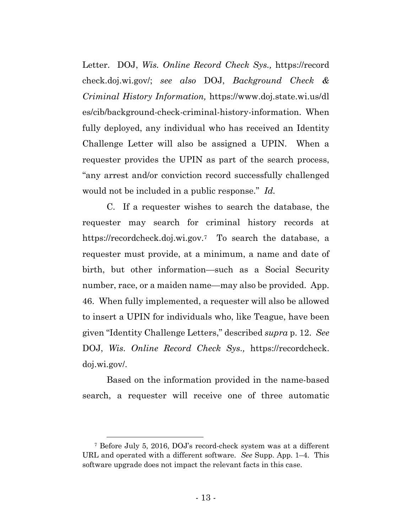Letter. DOJ, *Wis. Online Record Check Sys.,* https://record check.doj.wi.gov/; *see also* DOJ, *Background Check & Criminal History Information,* https://www.doj.state.wi.us/dl es/cib/background-check-criminal-history-information. When fully deployed, any individual who has received an Identity Challenge Letter will also be assigned a UPIN. When a requester provides the UPIN as part of the search process, "any arrest and/or conviction record successfully challenged would not be included in a public response." *Id.*

C. If a requester wishes to search the database, the requester may search for criminal history records at https://recordcheck.doj.wi.gov.7 To search the database, a requester must provide, at a minimum, a name and date of birth, but other information—such as a Social Security number, race, or a maiden name—may also be provided. App. 46. When fully implemented, a requester will also be allowed to insert a UPIN for individuals who, like Teague, have been given "Identity Challenge Letters," described *supra* p. 12. *See*  DOJ, *Wis. Online Record Check Sys.,* https://recordcheck. doj.wi.gov/.

Based on the information provided in the name-based search, a requester will receive one of three automatic

 <sup>7</sup> Before July 5, 2016, DOJ's record-check system was at a different URL and operated with a different software. *See* Supp. App. 1–4. This software upgrade does not impact the relevant facts in this case.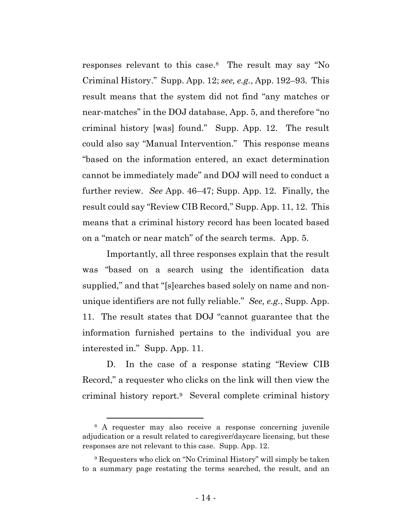responses relevant to this case.8 The result may say "No Criminal History." Supp. App. 12; *see, e.g.*, App. 192–93. This result means that the system did not find "any matches or near-matches" in the DOJ database, App. 5, and therefore "no criminal history [was] found." Supp. App. 12. The result could also say "Manual Intervention." This response means "based on the information entered, an exact determination cannot be immediately made" and DOJ will need to conduct a further review. *See* App. 46–47; Supp. App. 12. Finally*,* the result could say "Review CIB Record," Supp. App. 11, 12. This means that a criminal history record has been located based on a "match or near match" of the search terms. App. 5.

Importantly, all three responses explain that the result was "based on a search using the identification data supplied," and that "[s]earches based solely on name and nonunique identifiers are not fully reliable." *See, e.g.*, Supp. App. 11. The result states that DOJ "cannot guarantee that the information furnished pertains to the individual you are interested in." Supp. App. 11.

D. In the case of a response stating "Review CIB Record," a requester who clicks on the link will then view the criminal history report.9 Several complete criminal history

 <sup>8</sup> A requester may also receive a response concerning juvenile adjudication or a result related to caregiver/daycare licensing, but these responses are not relevant to this case. Supp. App. 12.

<sup>9</sup> Requesters who click on "No Criminal History" will simply be taken to a summary page restating the terms searched, the result, and an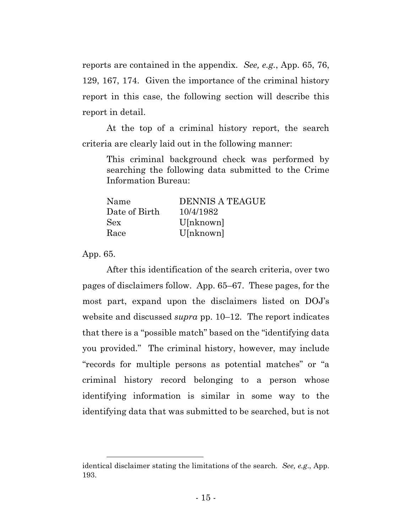reports are contained in the appendix. *See, e.g.*, App. 65, 76, 129, 167, 174. Given the importance of the criminal history report in this case, the following section will describe this report in detail.

At the top of a criminal history report, the search criteria are clearly laid out in the following manner:

This criminal background check was performed by searching the following data submitted to the Crime Information Bureau:

| Name          | <b>DENNIS A TEAGUE</b> |
|---------------|------------------------|
| Date of Birth | 10/4/1982              |
| <b>Sex</b>    | U[nknown]              |
| Race          | U[nknown]              |

App. 65.

l

After this identification of the search criteria, over two pages of disclaimers follow. App. 65–67. These pages, for the most part, expand upon the disclaimers listed on DOJ's website and discussed *supra* pp. 10–12. The report indicates that there is a "possible match" based on the "identifying data you provided." The criminal history, however, may include "records for multiple persons as potential matches" or "a criminal history record belonging to a person whose identifying information is similar in some way to the identifying data that was submitted to be searched, but is not

identical disclaimer stating the limitations of the search. *See, e.g*., App. 193.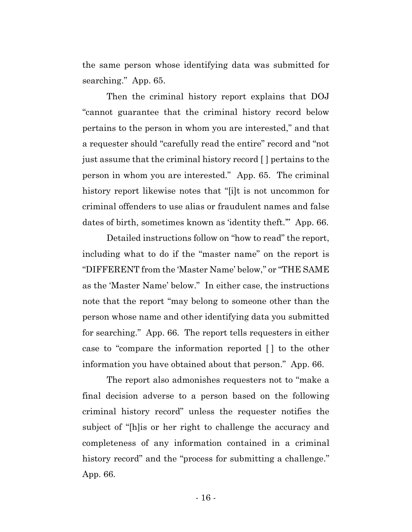the same person whose identifying data was submitted for searching." App. 65.

Then the criminal history report explains that DOJ "cannot guarantee that the criminal history record below pertains to the person in whom you are interested," and that a requester should "carefully read the entire" record and "not just assume that the criminal history record [ ] pertains to the person in whom you are interested." App. 65. The criminal history report likewise notes that "[i]t is not uncommon for criminal offenders to use alias or fraudulent names and false dates of birth, sometimes known as 'identity theft.'" App. 66.

Detailed instructions follow on "how to read" the report, including what to do if the "master name" on the report is "DIFFERENT from the 'Master Name' below," or "THE SAME as the 'Master Name' below." In either case, the instructions note that the report "may belong to someone other than the person whose name and other identifying data you submitted for searching." App. 66. The report tells requesters in either case to "compare the information reported [ ] to the other information you have obtained about that person." App. 66.

The report also admonishes requesters not to "make a final decision adverse to a person based on the following criminal history record" unless the requester notifies the subject of "[h]is or her right to challenge the accuracy and completeness of any information contained in a criminal history record" and the "process for submitting a challenge." App. 66.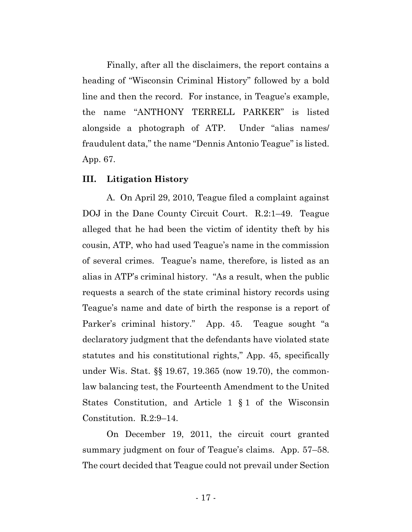Finally, after all the disclaimers, the report contains a heading of "Wisconsin Criminal History" followed by a bold line and then the record. For instance, in Teague's example, the name "ANTHONY TERRELL PARKER" is listed alongside a photograph of ATP. Under "alias names/ fraudulent data," the name "Dennis Antonio Teague" is listed. App. 67.

#### **III. Litigation History**

A. On April 29, 2010, Teague filed a complaint against DOJ in the Dane County Circuit Court. R.2:1–49. Teague alleged that he had been the victim of identity theft by his cousin, ATP, who had used Teague's name in the commission of several crimes. Teague's name, therefore, is listed as an alias in ATP's criminal history. "As a result, when the public requests a search of the state criminal history records using Teague's name and date of birth the response is a report of Parker's criminal history." App. 45. Teague sought "a declaratory judgment that the defendants have violated state statutes and his constitutional rights," App. 45, specifically under Wis. Stat. §§ 19.67, 19.365 (now 19.70), the commonlaw balancing test, the Fourteenth Amendment to the United States Constitution, and Article 1 § 1 of the Wisconsin Constitution. R.2:9–14.

On December 19, 2011, the circuit court granted summary judgment on four of Teague's claims. App. 57–58. The court decided that Teague could not prevail under Section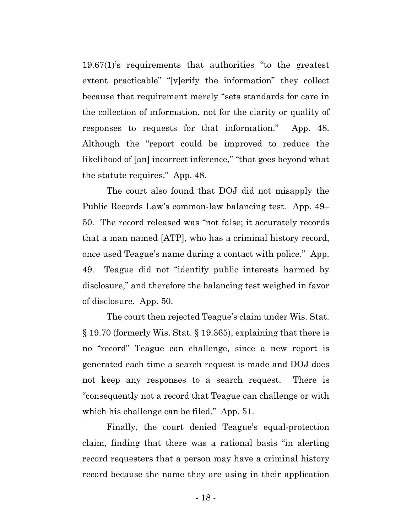19.67(1)'s requirements that authorities "to the greatest extent practicable" "[v]erify the information" they collect because that requirement merely "sets standards for care in the collection of information, not for the clarity or quality of responses to requests for that information." App. 48. Although the "report could be improved to reduce the likelihood of [an] incorrect inference," "that goes beyond what the statute requires." App. 48.

The court also found that DOJ did not misapply the Public Records Law's common-law balancing test. App. 49– 50. The record released was "not false; it accurately records that a man named [ATP], who has a criminal history record, once used Teague's name during a contact with police." App. 49. Teague did not "identify public interests harmed by disclosure," and therefore the balancing test weighed in favor of disclosure. App. 50.

The court then rejected Teague's claim under Wis. Stat. § 19.70 (formerly Wis. Stat. § 19.365), explaining that there is no "record" Teague can challenge, since a new report is generated each time a search request is made and DOJ does not keep any responses to a search request. There is "consequently not a record that Teague can challenge or with which his challenge can be filed." App. 51.

Finally, the court denied Teague's equal-protection claim, finding that there was a rational basis "in alerting record requesters that a person may have a criminal history record because the name they are using in their application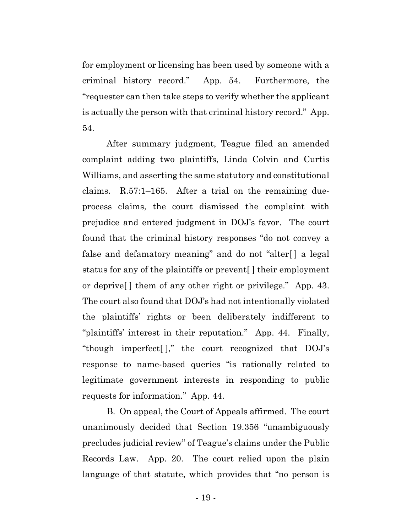for employment or licensing has been used by someone with a criminal history record." App. 54. Furthermore, the "requester can then take steps to verify whether the applicant is actually the person with that criminal history record." App. 54.

After summary judgment, Teague filed an amended complaint adding two plaintiffs, Linda Colvin and Curtis Williams, and asserting the same statutory and constitutional claims. R.57:1–165. After a trial on the remaining dueprocess claims, the court dismissed the complaint with prejudice and entered judgment in DOJ's favor. The court found that the criminal history responses "do not convey a false and defamatory meaning" and do not "alter[ ] a legal status for any of the plaintiffs or prevent[ ] their employment or deprive[ ] them of any other right or privilege." App. 43. The court also found that DOJ's had not intentionally violated the plaintiffs' rights or been deliberately indifferent to "plaintiffs' interest in their reputation." App. 44. Finally, "though imperfect[ ]," the court recognized that DOJ's response to name-based queries "is rationally related to legitimate government interests in responding to public requests for information." App. 44.

B. On appeal, the Court of Appeals affirmed. The court unanimously decided that Section 19.356 "unambiguously precludes judicial review" of Teague's claims under the Public Records Law. App. 20. The court relied upon the plain language of that statute, which provides that "no person is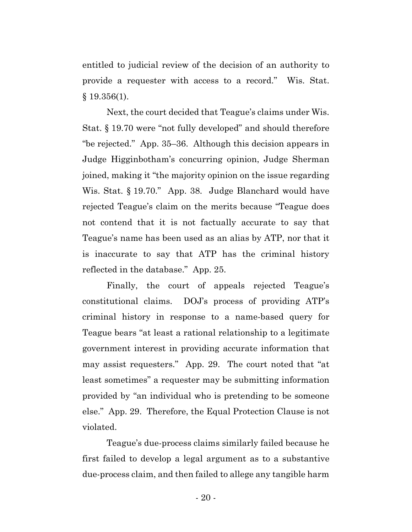entitled to judicial review of the decision of an authority to provide a requester with access to a record." Wis. Stat.  $§$  19.356(1).

Next, the court decided that Teague's claims under Wis. Stat. § 19.70 were "not fully developed" and should therefore "be rejected." App. 35–36. Although this decision appears in Judge Higginbotham's concurring opinion, Judge Sherman joined, making it "the majority opinion on the issue regarding Wis. Stat. § 19.70." App. 38. Judge Blanchard would have rejected Teague's claim on the merits because "Teague does not contend that it is not factually accurate to say that Teague's name has been used as an alias by ATP, nor that it is inaccurate to say that ATP has the criminal history reflected in the database." App. 25.

Finally, the court of appeals rejected Teague's constitutional claims. DOJ's process of providing ATP's criminal history in response to a name-based query for Teague bears "at least a rational relationship to a legitimate government interest in providing accurate information that may assist requesters." App. 29. The court noted that "at least sometimes" a requester may be submitting information provided by "an individual who is pretending to be someone else." App. 29. Therefore, the Equal Protection Clause is not violated.

Teague's due-process claims similarly failed because he first failed to develop a legal argument as to a substantive due-process claim, and then failed to allege any tangible harm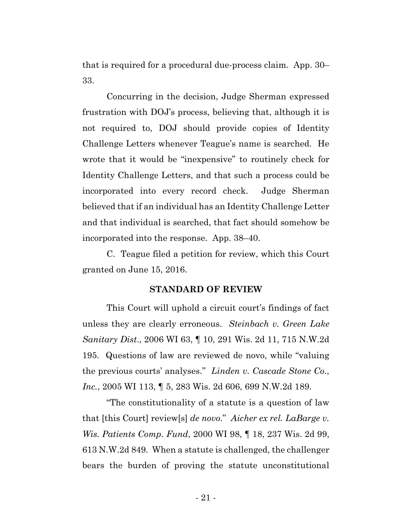that is required for a procedural due-process claim. App. 30– 33.

Concurring in the decision, Judge Sherman expressed frustration with DOJ's process, believing that, although it is not required to, DOJ should provide copies of Identity Challenge Letters whenever Teague's name is searched. He wrote that it would be "inexpensive" to routinely check for Identity Challenge Letters, and that such a process could be incorporated into every record check. Judge Sherman believed that if an individual has an Identity Challenge Letter and that individual is searched, that fact should somehow be incorporated into the response. App. 38–40.

C. Teague filed a petition for review, which this Court granted on June 15, 2016.

#### **STANDARD OF REVIEW**

This Court will uphold a circuit court's findings of fact unless they are clearly erroneous. *Steinbach v. Green Lake Sanitary Dist*., 2006 WI 63, ¶ 10, 291 Wis. 2d 11, 715 N.W.2d 195. Questions of law are reviewed de novo, while "valuing the previous courts' analyses." *Linden v. Cascade Stone Co*., *Inc.*, 2005 WI 113, ¶ 5, 283 Wis. 2d 606, 699 N.W.2d 189.

"The constitutionality of a statute is a question of law that [this Court] review[s] *de novo*." *Aicher ex rel. LaBarge v. Wis. Patients Comp. Fund*, 2000 WI 98, ¶ 18, 237 Wis. 2d 99, 613 N.W.2d 849. When a statute is challenged, the challenger bears the burden of proving the statute unconstitutional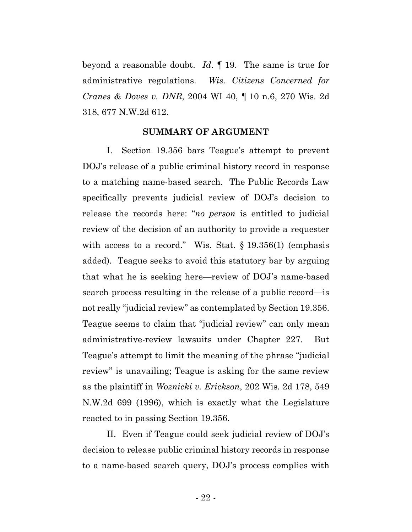beyond a reasonable doubt. *Id*. ¶ 19. The same is true for administrative regulations. *Wis. Citizens Concerned for Cranes & Doves v. DNR*, 2004 WI 40, ¶ 10 n.6, 270 Wis. 2d 318, 677 N.W.2d 612.

#### **SUMMARY OF ARGUMENT**

I. Section 19.356 bars Teague's attempt to prevent DOJ's release of a public criminal history record in response to a matching name-based search. The Public Records Law specifically prevents judicial review of DOJ's decision to release the records here: "*no person* is entitled to judicial review of the decision of an authority to provide a requester with access to a record." Wis. Stat. § 19.356(1) (emphasis added). Teague seeks to avoid this statutory bar by arguing that what he is seeking here—review of DOJ's name-based search process resulting in the release of a public record—is not really "judicial review" as contemplated by Section 19.356. Teague seems to claim that "judicial review" can only mean administrative-review lawsuits under Chapter 227. But Teague's attempt to limit the meaning of the phrase "judicial review" is unavailing; Teague is asking for the same review as the plaintiff in *Woznicki v. Erickson*, 202 Wis. 2d 178, 549 N.W.2d 699 (1996), which is exactly what the Legislature reacted to in passing Section 19.356.

II. Even if Teague could seek judicial review of DOJ's decision to release public criminal history records in response to a name-based search query, DOJ's process complies with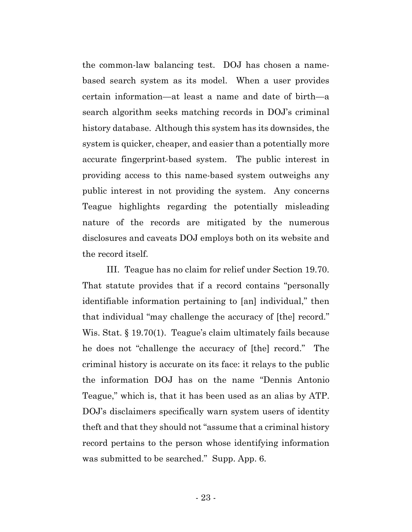the common-law balancing test. DOJ has chosen a namebased search system as its model. When a user provides certain information—at least a name and date of birth—a search algorithm seeks matching records in DOJ's criminal history database. Although this system has its downsides, the system is quicker, cheaper, and easier than a potentially more accurate fingerprint-based system. The public interest in providing access to this name-based system outweighs any public interest in not providing the system. Any concerns Teague highlights regarding the potentially misleading nature of the records are mitigated by the numerous disclosures and caveats DOJ employs both on its website and the record itself.

III. Teague has no claim for relief under Section 19.70. That statute provides that if a record contains "personally identifiable information pertaining to [an] individual," then that individual "may challenge the accuracy of [the] record." Wis. Stat. § 19.70(1). Teague's claim ultimately fails because he does not "challenge the accuracy of [the] record." The criminal history is accurate on its face: it relays to the public the information DOJ has on the name "Dennis Antonio Teague," which is, that it has been used as an alias by ATP. DOJ's disclaimers specifically warn system users of identity theft and that they should not "assume that a criminal history record pertains to the person whose identifying information was submitted to be searched." Supp. App. 6.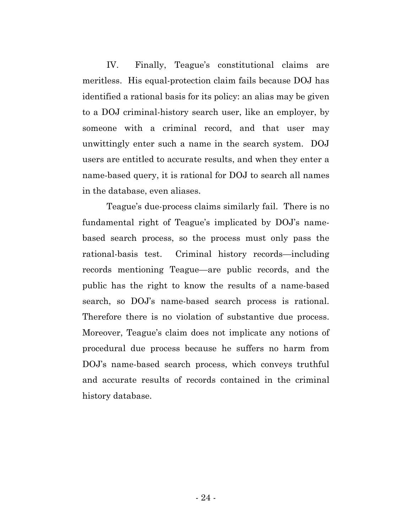IV. Finally, Teague's constitutional claims are meritless. His equal-protection claim fails because DOJ has identified a rational basis for its policy: an alias may be given to a DOJ criminal-history search user, like an employer, by someone with a criminal record, and that user may unwittingly enter such a name in the search system. DOJ users are entitled to accurate results, and when they enter a name-based query, it is rational for DOJ to search all names in the database, even aliases.

Teague's due-process claims similarly fail. There is no fundamental right of Teague's implicated by DOJ's namebased search process, so the process must only pass the rational-basis test. Criminal history records—including records mentioning Teague—are public records, and the public has the right to know the results of a name-based search, so DOJ's name-based search process is rational. Therefore there is no violation of substantive due process. Moreover, Teague's claim does not implicate any notions of procedural due process because he suffers no harm from DOJ's name-based search process, which conveys truthful and accurate results of records contained in the criminal history database.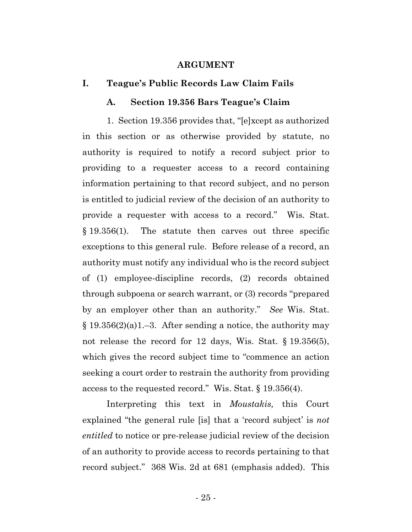#### **ARGUMENT**

#### **I. Teague's Public Records Law Claim Fails**

#### **A. Section 19.356 Bars Teague's Claim**

1. Section 19.356 provides that, "[e]xcept as authorized in this section or as otherwise provided by statute, no authority is required to notify a record subject prior to providing to a requester access to a record containing information pertaining to that record subject, and no person is entitled to judicial review of the decision of an authority to provide a requester with access to a record." Wis. Stat. § 19.356(1). The statute then carves out three specific exceptions to this general rule. Before release of a record, an authority must notify any individual who is the record subject of (1) employee-discipline records, (2) records obtained through subpoena or search warrant, or (3) records "prepared by an employer other than an authority." *See* Wis. Stat.  $§ 19.356(2)(a)1.-3.$  After sending a notice, the authority may not release the record for 12 days, Wis. Stat. § 19.356(5), which gives the record subject time to "commence an action seeking a court order to restrain the authority from providing access to the requested record." Wis. Stat. § 19.356(4).

Interpreting this text in *Moustakis,* this Court explained "the general rule [is] that a 'record subject' is *not entitled* to notice or pre-release judicial review of the decision of an authority to provide access to records pertaining to that record subject." 368 Wis. 2d at 681 (emphasis added). This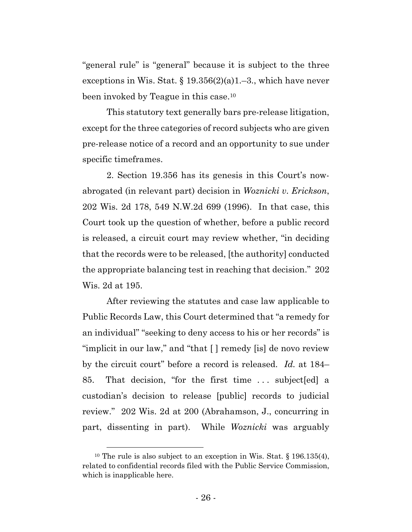"general rule" is "general" because it is subject to the three exceptions in Wis. Stat.  $\S 19.356(2)(a)1.-3$ ., which have never been invoked by Teague in this case.10

This statutory text generally bars pre-release litigation, except for the three categories of record subjects who are given pre-release notice of a record and an opportunity to sue under specific timeframes.

2. Section 19.356 has its genesis in this Court's nowabrogated (in relevant part) decision in *Woznicki v. Erickson*, 202 Wis. 2d 178, 549 N.W.2d 699 (1996). In that case, this Court took up the question of whether, before a public record is released, a circuit court may review whether, "in deciding that the records were to be released, [the authority] conducted the appropriate balancing test in reaching that decision." 202 Wis. 2d at 195.

After reviewing the statutes and case law applicable to Public Records Law, this Court determined that "a remedy for an individual" "seeking to deny access to his or her records" is "implicit in our law," and "that [ ] remedy [is] de novo review by the circuit court" before a record is released. *Id.* at 184– 85. That decision, "for the first time . . . subject[ed] a custodian's decision to release [public] records to judicial review." 202 Wis. 2d at 200 (Abrahamson, J., concurring in part, dissenting in part). While *Woznicki* was arguably

<sup>&</sup>lt;sup>10</sup> The rule is also subject to an exception in Wis. Stat. § 196.135(4), related to confidential records filed with the Public Service Commission, which is inapplicable here.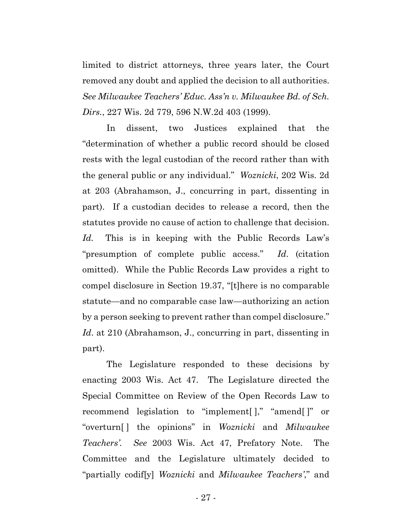limited to district attorneys, three years later, the Court removed any doubt and applied the decision to all authorities. *See Milwaukee Teachers' Educ. Ass'n v. Milwaukee Bd. of Sch. Dirs.*, 227 Wis. 2d 779, 596 N.W.2d 403 (1999).

In dissent, two Justices explained that the "determination of whether a public record should be closed rests with the legal custodian of the record rather than with the general public or any individual." *Woznicki*, 202 Wis. 2d at 203 (Abrahamson, J., concurring in part, dissenting in part). If a custodian decides to release a record, then the statutes provide no cause of action to challenge that decision. *Id.* This is in keeping with the Public Records Law's "presumption of complete public access." *Id*. (citation omitted). While the Public Records Law provides a right to compel disclosure in Section 19.37, "[t]here is no comparable statute—and no comparable case law—authorizing an action by a person seeking to prevent rather than compel disclosure." *Id*. at 210 (Abrahamson, J., concurring in part, dissenting in part).

The Legislature responded to these decisions by enacting 2003 Wis. Act 47. The Legislature directed the Special Committee on Review of the Open Records Law to recommend legislation to "implement[ ]," "amend[ ]" or "overturn[ ] the opinions" in *Woznicki* and *Milwaukee Teachers'. See* 2003 Wis. Act 47, Prefatory Note. The Committee and the Legislature ultimately decided to "partially codif[y] *Woznicki* and *Milwaukee Teachers'*," and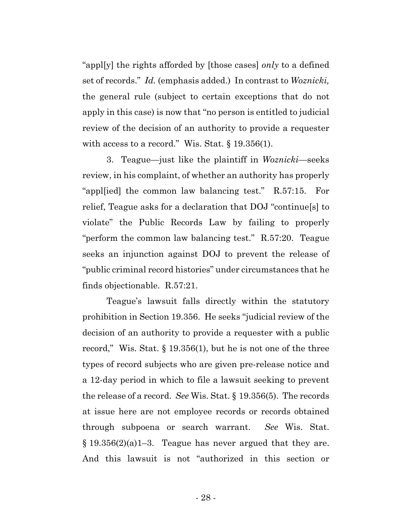"appl[y] the rights afforded by [those cases] *only* to a defined set of records." *Id.* (emphasis added.) In contrast to *Woznicki,* the general rule (subject to certain exceptions that do not apply in this case) is now that "no person is entitled to judicial review of the decision of an authority to provide a requester with access to a record." Wis. Stat.  $\S 19.356(1)$ .

3. Teague—just like the plaintiff in *Woznicki*—seeks review, in his complaint, of whether an authority has properly "appl[ied] the common law balancing test." R.57:15. For relief, Teague asks for a declaration that DOJ "continue[s] to violate" the Public Records Law by failing to properly "perform the common law balancing test." R.57:20. Teague seeks an injunction against DOJ to prevent the release of "public criminal record histories" under circumstances that he finds objectionable. R.57:21.

Teague's lawsuit falls directly within the statutory prohibition in Section 19.356. He seeks "judicial review of the decision of an authority to provide a requester with a public record," Wis. Stat. § 19.356(1), but he is not one of the three types of record subjects who are given pre-release notice and a 12-day period in which to file a lawsuit seeking to prevent the release of a record. *See* Wis. Stat. § 19.356(5). The records at issue here are not employee records or records obtained through subpoena or search warrant. *See* Wis. Stat.  $§$  19.356(2)(a)1–3. Teague has never argued that they are. And this lawsuit is not "authorized in this section or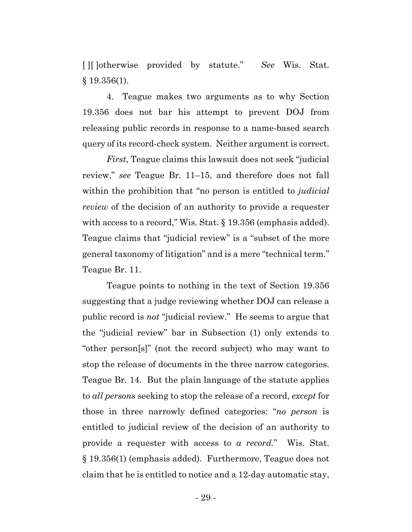[ ][ ]otherwise provided by statute." *See* Wis. Stat.  $§$  19.356(1).

4. Teague makes two arguments as to why Section 19.356 does not bar his attempt to prevent DOJ from releasing public records in response to a name-based search query of its record-check system. Neither argument is correct.

*First*, Teague claims this lawsuit does not seek "judicial review," *see* Teague Br. 11–15, and therefore does not fall within the prohibition that "no person is entitled to *judicial review* of the decision of an authority to provide a requester with access to a record," Wis. Stat. § 19.356 (emphasis added). Teague claims that "judicial review" is a "subset of the more general taxonomy of litigation" and is a mere "technical term." Teague Br. 11.

Teague points to nothing in the text of Section 19.356 suggesting that a judge reviewing whether DOJ can release a public record is *not* "judicial review." He seems to argue that the "judicial review" bar in Subsection (1) only extends to "other person[s]" (not the record subject) who may want to stop the release of documents in the three narrow categories. Teague Br. 14. But the plain language of the statute applies to *all persons* seeking to stop the release of a record, *except* for those in three narrowly defined categories: "*no person* is entitled to judicial review of the decision of an authority to provide a requester with access to *a record.*" Wis. Stat. § 19.356(1) (emphasis added). Furthermore, Teague does not claim that he is entitled to notice and a 12-day automatic stay,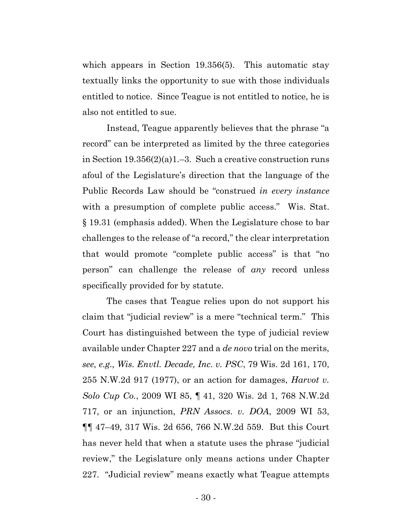which appears in Section 19.356(5). This automatic stay textually links the opportunity to sue with those individuals entitled to notice. Since Teague is not entitled to notice, he is also not entitled to sue.

Instead, Teague apparently believes that the phrase "a record" can be interpreted as limited by the three categories in Section 19.356(2)(a)1.–3. Such a creative construction runs afoul of the Legislature's direction that the language of the Public Records Law should be "construed *in every instance* with a presumption of complete public access." Wis. Stat. § 19.31 (emphasis added). When the Legislature chose to bar challenges to the release of "a record," the clear interpretation that would promote "complete public access" is that "no person" can challenge the release of *any* record unless specifically provided for by statute.

The cases that Teague relies upon do not support his claim that "judicial review" is a mere "technical term." This Court has distinguished between the type of judicial review available under Chapter 227 and a *de novo* trial on the merits, *see, e.g., Wis. Envtl. Decade, Inc. v. PSC*, 79 Wis. 2d 161, 170, 255 N.W.2d 917 (1977), or an action for damages, *Harvot v. Solo Cup Co.*, 2009 WI 85, ¶ 41, 320 Wis. 2d 1, 768 N.W.2d 717, or an injunction, *PRN Assocs. v. DOA*, 2009 WI 53, ¶¶ 47–49, 317 Wis. 2d 656, 766 N.W.2d 559. But this Court has never held that when a statute uses the phrase "judicial review," the Legislature only means actions under Chapter 227. "Judicial review" means exactly what Teague attempts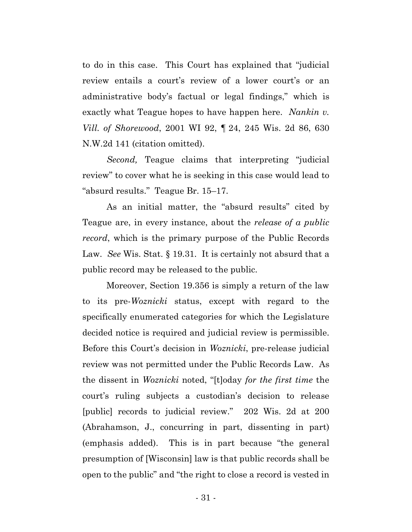to do in this case. This Court has explained that "judicial review entails a court's review of a lower court's or an administrative body's factual or legal findings," which is exactly what Teague hopes to have happen here. *Nankin v. Vill. of Shorewood*, 2001 WI 92, ¶ 24, 245 Wis. 2d 86, 630 N.W.2d 141 (citation omitted).

*Second,* Teague claims that interpreting "judicial review" to cover what he is seeking in this case would lead to "absurd results." Teague Br. 15–17.

As an initial matter, the "absurd results" cited by Teague are, in every instance, about the *release of a public record*, which is the primary purpose of the Public Records Law. *See* Wis. Stat. § 19.31. It is certainly not absurd that a public record may be released to the public.

Moreover, Section 19.356 is simply a return of the law to its pre-*Woznicki* status, except with regard to the specifically enumerated categories for which the Legislature decided notice is required and judicial review is permissible. Before this Court's decision in *Woznicki*, pre-release judicial review was not permitted under the Public Records Law. As the dissent in *Woznicki* noted, "[t]oday *for the first time* the court's ruling subjects a custodian's decision to release [public] records to judicial review." 202 Wis. 2d at 200 (Abrahamson, J., concurring in part, dissenting in part) (emphasis added). This is in part because "the general presumption of [Wisconsin] law is that public records shall be open to the public" and "the right to close a record is vested in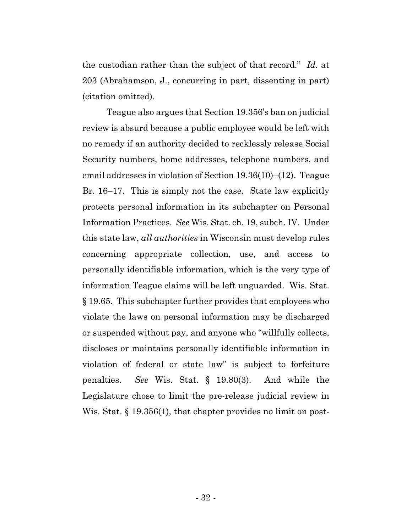the custodian rather than the subject of that record." *Id.* at 203 (Abrahamson, J., concurring in part, dissenting in part) (citation omitted).

Teague also argues that Section 19.356's ban on judicial review is absurd because a public employee would be left with no remedy if an authority decided to recklessly release Social Security numbers, home addresses, telephone numbers, and email addresses in violation of Section 19.36(10)–(12). Teague Br. 16–17. This is simply not the case. State law explicitly protects personal information in its subchapter on Personal Information Practices. *See* Wis. Stat. ch. 19, subch. IV. Under this state law, *all authorities* in Wisconsin must develop rules concerning appropriate collection, use, and access to personally identifiable information, which is the very type of information Teague claims will be left unguarded. Wis. Stat. § 19.65. This subchapter further provides that employees who violate the laws on personal information may be discharged or suspended without pay, and anyone who "willfully collects, discloses or maintains personally identifiable information in violation of federal or state law" is subject to forfeiture penalties. *See* Wis. Stat. § 19.80(3). And while the Legislature chose to limit the pre-release judicial review in Wis. Stat. § 19.356(1), that chapter provides no limit on post-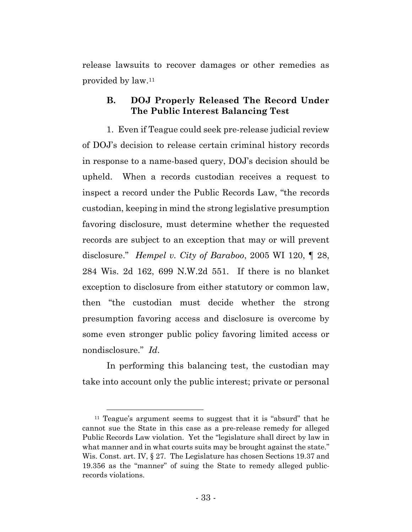release lawsuits to recover damages or other remedies as provided by law.11

# **B. DOJ Properly Released The Record Under The Public Interest Balancing Test**

1. Even if Teague could seek pre-release judicial review of DOJ's decision to release certain criminal history records in response to a name-based query, DOJ's decision should be upheld. When a records custodian receives a request to inspect a record under the Public Records Law, "the records custodian, keeping in mind the strong legislative presumption favoring disclosure, must determine whether the requested records are subject to an exception that may or will prevent disclosure." *Hempel v. City of Baraboo*, 2005 WI 120, ¶ 28, 284 Wis. 2d 162, 699 N.W.2d 551. If there is no blanket exception to disclosure from either statutory or common law, then "the custodian must decide whether the strong presumption favoring access and disclosure is overcome by some even stronger public policy favoring limited access or nondisclosure." *Id*.

In performing this balancing test, the custodian may take into account only the public interest; private or personal

<sup>&</sup>lt;sup>11</sup> Teague's argument seems to suggest that it is "absurd" that he cannot sue the State in this case as a pre-release remedy for alleged Public Records Law violation. Yet the "legislature shall direct by law in what manner and in what courts suits may be brought against the state." Wis. Const. art. IV, § 27. The Legislature has chosen Sections 19.37 and 19.356 as the "manner" of suing the State to remedy alleged publicrecords violations.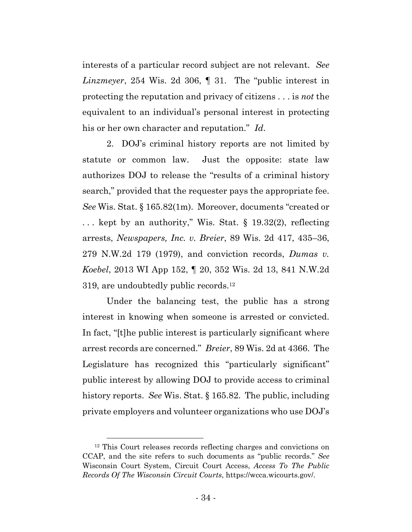interests of a particular record subject are not relevant. *See Linzmeyer*, 254 Wis. 2d 306, ¶ 31. The "public interest in protecting the reputation and privacy of citizens . . . is *not* the equivalent to an individual's personal interest in protecting his or her own character and reputation." *Id*.

2. DOJ's criminal history reports are not limited by statute or common law. Just the opposite: state law authorizes DOJ to release the "results of a criminal history search," provided that the requester pays the appropriate fee. *See* Wis. Stat. § 165.82(1m). Moreover, documents "created or . . . kept by an authority," Wis. Stat. § 19.32(2), reflecting arrests, *Newspapers, Inc. v. Breier*, 89 Wis. 2d 417, 435–36, 279 N.W.2d 179 (1979), and conviction records, *Dumas v. Koebel*, 2013 WI App 152, ¶ 20, 352 Wis. 2d 13, 841 N.W.2d 319, are undoubtedly public records.12

Under the balancing test, the public has a strong interest in knowing when someone is arrested or convicted. In fact, "[t]he public interest is particularly significant where arrest records are concerned." *Breier*, 89 Wis. 2d at 4366. The Legislature has recognized this "particularly significant" public interest by allowing DOJ to provide access to criminal history reports. *See* Wis. Stat. § 165.82. The public, including private employers and volunteer organizations who use DOJ's

<sup>&</sup>lt;sup>12</sup> This Court releases records reflecting charges and convictions on CCAP, and the site refers to such documents as "public records." *See* Wisconsin Court System, Circuit Court Access, *Access To The Public Records Of The Wisconsin Circuit Courts*, https://wcca.wicourts.gov/.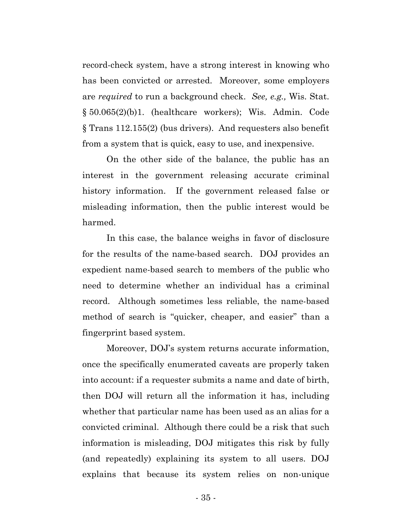record-check system, have a strong interest in knowing who has been convicted or arrested. Moreover, some employers are *required* to run a background check. *See, e.g.,* Wis. Stat. § 50.065(2)(b)1. (healthcare workers); Wis. Admin. Code § Trans 112.155(2) (bus drivers). And requesters also benefit from a system that is quick, easy to use, and inexpensive.

On the other side of the balance, the public has an interest in the government releasing accurate criminal history information. If the government released false or misleading information, then the public interest would be harmed.

In this case, the balance weighs in favor of disclosure for the results of the name-based search. DOJ provides an expedient name-based search to members of the public who need to determine whether an individual has a criminal record. Although sometimes less reliable, the name-based method of search is "quicker, cheaper, and easier" than a fingerprint based system.

Moreover, DOJ's system returns accurate information, once the specifically enumerated caveats are properly taken into account: if a requester submits a name and date of birth, then DOJ will return all the information it has, including whether that particular name has been used as an alias for a convicted criminal. Although there could be a risk that such information is misleading, DOJ mitigates this risk by fully (and repeatedly) explaining its system to all users. DOJ explains that because its system relies on non-unique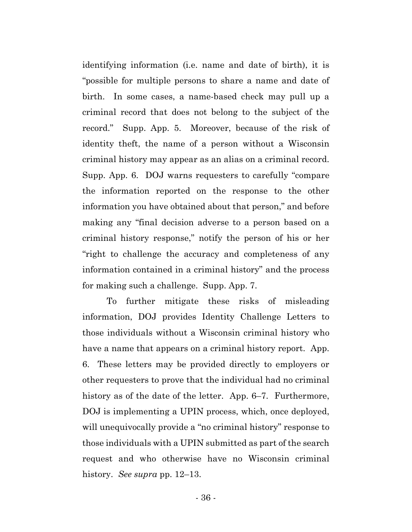identifying information (i.e. name and date of birth), it is "possible for multiple persons to share a name and date of birth. In some cases, a name-based check may pull up a criminal record that does not belong to the subject of the record." Supp. App. 5. Moreover, because of the risk of identity theft, the name of a person without a Wisconsin criminal history may appear as an alias on a criminal record. Supp. App. 6. DOJ warns requesters to carefully "compare the information reported on the response to the other information you have obtained about that person," and before making any "final decision adverse to a person based on a criminal history response," notify the person of his or her "right to challenge the accuracy and completeness of any information contained in a criminal history" and the process for making such a challenge. Supp. App. 7.

To further mitigate these risks of misleading information, DOJ provides Identity Challenge Letters to those individuals without a Wisconsin criminal history who have a name that appears on a criminal history report. App. 6. These letters may be provided directly to employers or other requesters to prove that the individual had no criminal history as of the date of the letter. App. 6–7. Furthermore, DOJ is implementing a UPIN process, which, once deployed, will unequivocally provide a "no criminal history" response to those individuals with a UPIN submitted as part of the search request and who otherwise have no Wisconsin criminal history. *See supra* pp. 12–13.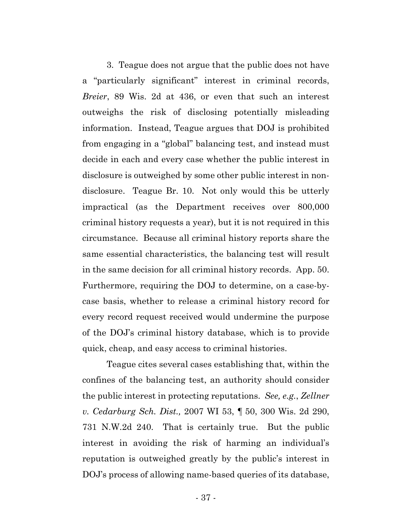3. Teague does not argue that the public does not have a "particularly significant" interest in criminal records, *Breier*, 89 Wis. 2d at 436, or even that such an interest outweighs the risk of disclosing potentially misleading information. Instead, Teague argues that DOJ is prohibited from engaging in a "global" balancing test, and instead must decide in each and every case whether the public interest in disclosure is outweighed by some other public interest in nondisclosure. Teague Br. 10. Not only would this be utterly impractical (as the Department receives over 800,000 criminal history requests a year), but it is not required in this circumstance. Because all criminal history reports share the same essential characteristics, the balancing test will result in the same decision for all criminal history records. App. 50. Furthermore, requiring the DOJ to determine, on a case-bycase basis, whether to release a criminal history record for every record request received would undermine the purpose of the DOJ's criminal history database, which is to provide quick, cheap, and easy access to criminal histories.

Teague cites several cases establishing that, within the confines of the balancing test, an authority should consider the public interest in protecting reputations. *See, e.g.*, *Zellner v. Cedarburg Sch. Dist.,* 2007 WI 53, ¶ 50, 300 Wis. 2d 290, 731 N.W.2d 240. That is certainly true. But the public interest in avoiding the risk of harming an individual's reputation is outweighed greatly by the public's interest in DOJ's process of allowing name-based queries of its database,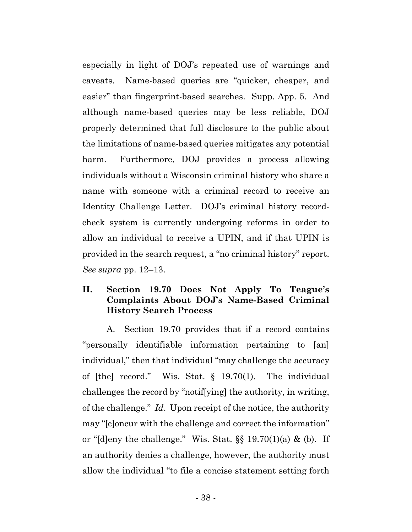especially in light of DOJ's repeated use of warnings and caveats. Name-based queries are "quicker, cheaper, and easier" than fingerprint-based searches. Supp. App. 5. And although name-based queries may be less reliable, DOJ properly determined that full disclosure to the public about the limitations of name-based queries mitigates any potential harm. Furthermore, DOJ provides a process allowing individuals without a Wisconsin criminal history who share a name with someone with a criminal record to receive an Identity Challenge Letter. DOJ's criminal history recordcheck system is currently undergoing reforms in order to allow an individual to receive a UPIN, and if that UPIN is provided in the search request, a "no criminal history" report. *See supra* pp. 12–13.

# **II. Section 19.70 Does Not Apply To Teague's Complaints About DOJ's Name-Based Criminal History Search Process**

A. Section 19.70 provides that if a record contains "personally identifiable information pertaining to [an] individual," then that individual "may challenge the accuracy of [the] record." Wis. Stat. § 19.70(1). The individual challenges the record by "notif[ying] the authority, in writing, of the challenge." *Id*. Upon receipt of the notice, the authority may "[c]oncur with the challenge and correct the information" or "[d]eny the challenge." Wis. Stat.  $\S$ [ 19.70(1)(a) & (b). If an authority denies a challenge, however, the authority must allow the individual "to file a concise statement setting forth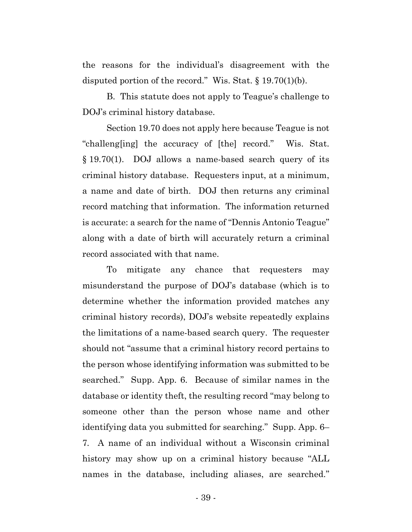the reasons for the individual's disagreement with the disputed portion of the record." Wis. Stat.  $\S 19.70(1)(b)$ .

B. This statute does not apply to Teague's challenge to DOJ's criminal history database.

Section 19.70 does not apply here because Teague is not "challeng[ing] the accuracy of [the] record." Wis. Stat. § 19.70(1). DOJ allows a name-based search query of its criminal history database. Requesters input, at a minimum, a name and date of birth. DOJ then returns any criminal record matching that information. The information returned is accurate: a search for the name of "Dennis Antonio Teague" along with a date of birth will accurately return a criminal record associated with that name.

To mitigate any chance that requesters may misunderstand the purpose of DOJ's database (which is to determine whether the information provided matches any criminal history records), DOJ's website repeatedly explains the limitations of a name-based search query. The requester should not "assume that a criminal history record pertains to the person whose identifying information was submitted to be searched." Supp. App. 6. Because of similar names in the database or identity theft, the resulting record "may belong to someone other than the person whose name and other identifying data you submitted for searching." Supp. App. 6– 7*.* A name of an individual without a Wisconsin criminal history may show up on a criminal history because "ALL names in the database, including aliases, are searched."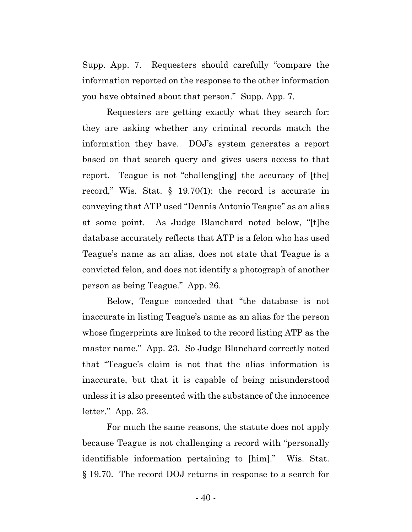Supp. App. 7. Requesters should carefully "compare the information reported on the response to the other information you have obtained about that person." Supp. App. 7.

Requesters are getting exactly what they search for: they are asking whether any criminal records match the information they have. DOJ's system generates a report based on that search query and gives users access to that report. Teague is not "challeng[ing] the accuracy of [the] record," Wis. Stat. § 19.70(1): the record is accurate in conveying that ATP used "Dennis Antonio Teague" as an alias at some point. As Judge Blanchard noted below, "[t]he database accurately reflects that ATP is a felon who has used Teague's name as an alias, does not state that Teague is a convicted felon, and does not identify a photograph of another person as being Teague." App. 26.

Below, Teague conceded that "the database is not inaccurate in listing Teague's name as an alias for the person whose fingerprints are linked to the record listing ATP as the master name." App. 23. So Judge Blanchard correctly noted that "Teague's claim is not that the alias information is inaccurate, but that it is capable of being misunderstood unless it is also presented with the substance of the innocence letter." App. 23.

For much the same reasons, the statute does not apply because Teague is not challenging a record with "personally identifiable information pertaining to [him]." Wis. Stat. § 19.70. The record DOJ returns in response to a search for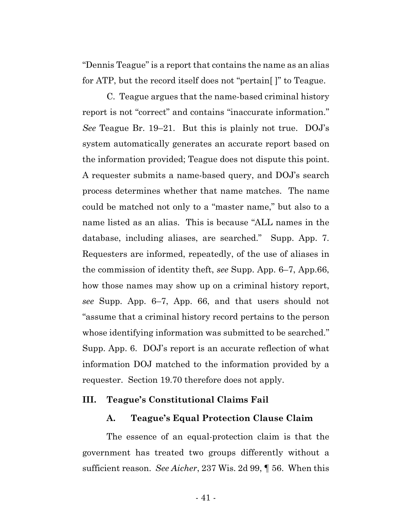"Dennis Teague" is a report that contains the name as an alias for ATP, but the record itself does not "pertain[ ]" to Teague.

C. Teague argues that the name-based criminal history report is not "correct" and contains "inaccurate information." *See* Teague Br. 19–21. But this is plainly not true. DOJ's system automatically generates an accurate report based on the information provided; Teague does not dispute this point. A requester submits a name-based query, and DOJ's search process determines whether that name matches. The name could be matched not only to a "master name," but also to a name listed as an alias. This is because "ALL names in the database, including aliases, are searched." Supp. App. 7. Requesters are informed, repeatedly, of the use of aliases in the commission of identity theft, *see* Supp. App. 6–7, App.66, how those names may show up on a criminal history report, *see* Supp. App. 6–7, App. 66, and that users should not "assume that a criminal history record pertains to the person whose identifying information was submitted to be searched." Supp. App. 6. DOJ's report is an accurate reflection of what information DOJ matched to the information provided by a requester. Section 19.70 therefore does not apply.

#### **III. Teague's Constitutional Claims Fail**

#### **A. Teague's Equal Protection Clause Claim**

The essence of an equal-protection claim is that the government has treated two groups differently without a sufficient reason. *See Aicher*, 237 Wis. 2d 99, ¶ 56. When this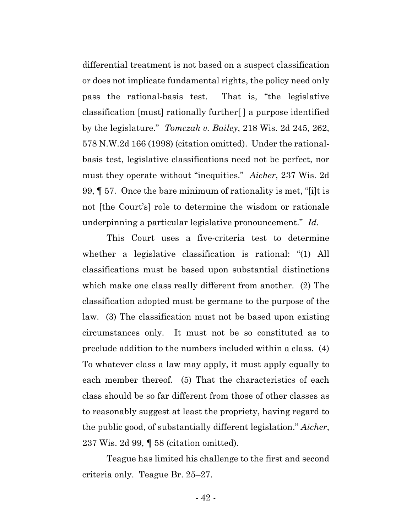differential treatment is not based on a suspect classification or does not implicate fundamental rights, the policy need only pass the rational-basis test. That is, "the legislative classification [must] rationally further[ ] a purpose identified by the legislature." *Tomczak v. Bailey*, 218 Wis. 2d 245, 262, 578 N.W.2d 166 (1998) (citation omitted). Under the rationalbasis test, legislative classifications need not be perfect, nor must they operate without "inequities." *Aicher*, 237 Wis. 2d 99, ¶ 57. Once the bare minimum of rationality is met, "[i]t is not [the Court's] role to determine the wisdom or rationale underpinning a particular legislative pronouncement." *Id.* 

This Court uses a five-criteria test to determine whether a legislative classification is rational: "(1) All classifications must be based upon substantial distinctions which make one class really different from another. (2) The classification adopted must be germane to the purpose of the law. (3) The classification must not be based upon existing circumstances only. It must not be so constituted as to preclude addition to the numbers included within a class. (4) To whatever class a law may apply, it must apply equally to each member thereof. (5) That the characteristics of each class should be so far different from those of other classes as to reasonably suggest at least the propriety, having regard to the public good, of substantially different legislation." *Aicher*, 237 Wis. 2d 99, ¶ 58 (citation omitted).

Teague has limited his challenge to the first and second criteria only. Teague Br. 25–27.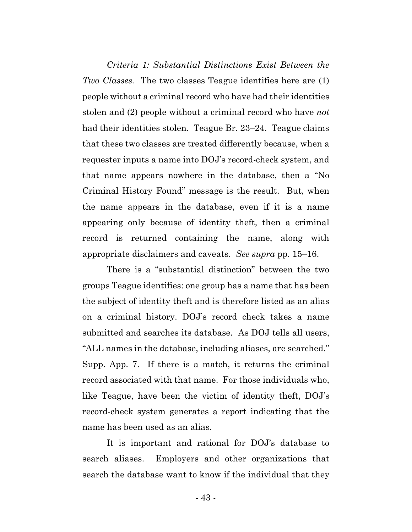*Criteria 1: Substantial Distinctions Exist Between the Two Classes.* The two classes Teague identifies here are (1) people without a criminal record who have had their identities stolen and (2) people without a criminal record who have *not*  had their identities stolen. Teague Br. 23–24. Teague claims that these two classes are treated differently because, when a requester inputs a name into DOJ's record-check system, and that name appears nowhere in the database, then a "No Criminal History Found" message is the result. But, when the name appears in the database, even if it is a name appearing only because of identity theft, then a criminal record is returned containing the name, along with appropriate disclaimers and caveats. *See supra* pp. 15–16.

There is a "substantial distinction" between the two groups Teague identifies: one group has a name that has been the subject of identity theft and is therefore listed as an alias on a criminal history. DOJ's record check takes a name submitted and searches its database. As DOJ tells all users, "ALL names in the database, including aliases, are searched." Supp. App. 7. If there is a match, it returns the criminal record associated with that name. For those individuals who, like Teague, have been the victim of identity theft, DOJ's record-check system generates a report indicating that the name has been used as an alias.

It is important and rational for DOJ's database to search aliases. Employers and other organizations that search the database want to know if the individual that they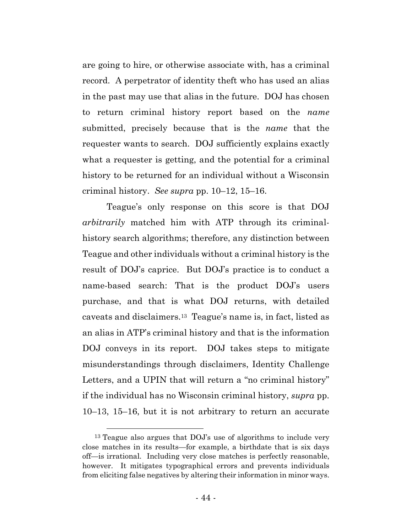are going to hire, or otherwise associate with, has a criminal record. A perpetrator of identity theft who has used an alias in the past may use that alias in the future. DOJ has chosen to return criminal history report based on the *name* submitted, precisely because that is the *name* that the requester wants to search. DOJ sufficiently explains exactly what a requester is getting, and the potential for a criminal history to be returned for an individual without a Wisconsin criminal history. *See supra* pp. 10–12, 15–16.

Teague's only response on this score is that DOJ *arbitrarily* matched him with ATP through its criminalhistory search algorithms; therefore, any distinction between Teague and other individuals without a criminal history is the result of DOJ's caprice. But DOJ's practice is to conduct a name-based search: That is the product DOJ's users purchase, and that is what DOJ returns, with detailed caveats and disclaimers.13 Teague's name is, in fact, listed as an alias in ATP's criminal history and that is the information DOJ conveys in its report. DOJ takes steps to mitigate misunderstandings through disclaimers, Identity Challenge Letters, and a UPIN that will return a "no criminal history" if the individual has no Wisconsin criminal history, *supra* pp. 10–13, 15–16, but it is not arbitrary to return an accurate

 <sup>13</sup> Teague also argues that DOJ's use of algorithms to include very close matches in its results—for example, a birthdate that is six days off—is irrational. Including very close matches is perfectly reasonable, however. It mitigates typographical errors and prevents individuals from eliciting false negatives by altering their information in minor ways.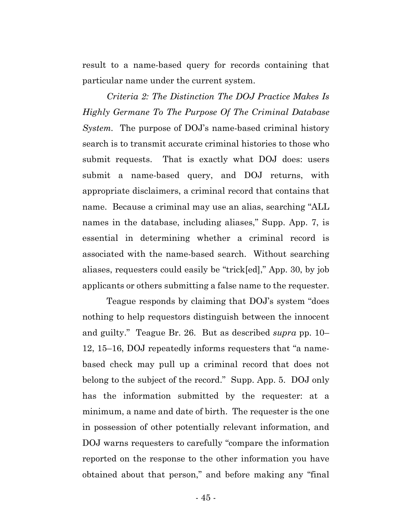result to a name-based query for records containing that particular name under the current system.

*Criteria 2: The Distinction The DOJ Practice Makes Is Highly Germane To The Purpose Of The Criminal Database System.* The purpose of DOJ's name-based criminal history search is to transmit accurate criminal histories to those who submit requests. That is exactly what DOJ does: users submit a name-based query, and DOJ returns, with appropriate disclaimers, a criminal record that contains that name. Because a criminal may use an alias, searching "ALL names in the database, including aliases," Supp. App. 7, is essential in determining whether a criminal record is associated with the name-based search. Without searching aliases, requesters could easily be "trick[ed]," App. 30, by job applicants or others submitting a false name to the requester.

Teague responds by claiming that DOJ's system "does nothing to help requestors distinguish between the innocent and guilty." Teague Br. 26. But as described *supra* pp. 10– 12, 15–16, DOJ repeatedly informs requesters that "a namebased check may pull up a criminal record that does not belong to the subject of the record." Supp. App. 5. DOJ only has the information submitted by the requester: at a minimum, a name and date of birth. The requester is the one in possession of other potentially relevant information, and DOJ warns requesters to carefully "compare the information reported on the response to the other information you have obtained about that person," and before making any "final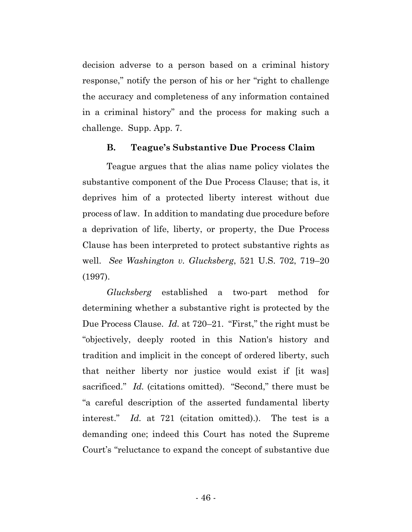decision adverse to a person based on a criminal history response," notify the person of his or her "right to challenge the accuracy and completeness of any information contained in a criminal history" and the process for making such a challenge. Supp. App. 7.

# **B. Teague's Substantive Due Process Claim**

Teague argues that the alias name policy violates the substantive component of the Due Process Clause; that is, it deprives him of a protected liberty interest without due process of law. In addition to mandating due procedure before a deprivation of life, liberty, or property, the Due Process Clause has been interpreted to protect substantive rights as well. *See Washington v. Glucksberg*, 521 U.S. 702, 719–20 (1997).

*Glucksberg* established a two-part method for determining whether a substantive right is protected by the Due Process Clause. *Id.* at 720–21. "First," the right must be "objectively, deeply rooted in this Nation's history and tradition and implicit in the concept of ordered liberty, such that neither liberty nor justice would exist if [it was] sacrificed." *Id.* (citations omitted). "Second," there must be "a careful description of the asserted fundamental liberty interest." *Id.* at 721 (citation omitted).). The test is a demanding one; indeed this Court has noted the Supreme Court's "reluctance to expand the concept of substantive due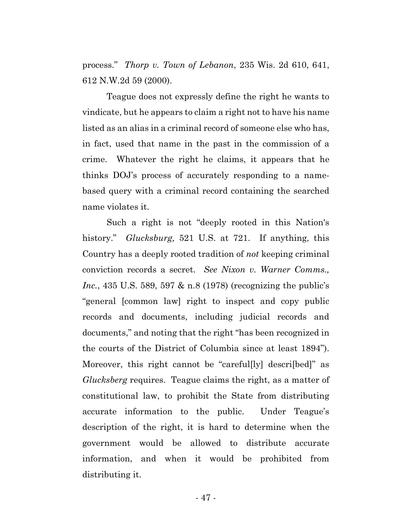process." *Thorp v. Town of Lebanon*, 235 Wis. 2d 610, 641, 612 N.W.2d 59 (2000).

Teague does not expressly define the right he wants to vindicate, but he appears to claim a right not to have his name listed as an alias in a criminal record of someone else who has, in fact, used that name in the past in the commission of a crime. Whatever the right he claims, it appears that he thinks DOJ's process of accurately responding to a namebased query with a criminal record containing the searched name violates it.

Such a right is not "deeply rooted in this Nation's history." *Glucksburg,* 521 U.S. at 721. If anything, this Country has a deeply rooted tradition of *not* keeping criminal conviction records a secret. *See Nixon v. Warner Comms., Inc.*, 435 U.S. 589, 597 & n.8 (1978) (recognizing the public's "general [common law] right to inspect and copy public records and documents, including judicial records and documents," and noting that the right "has been recognized in the courts of the District of Columbia since at least 1894"). Moreover, this right cannot be "careful[ly] descri[bed]" as *Glucksberg* requires. Teague claims the right, as a matter of constitutional law, to prohibit the State from distributing accurate information to the public. Under Teague's description of the right, it is hard to determine when the government would be allowed to distribute accurate information, and when it would be prohibited from distributing it.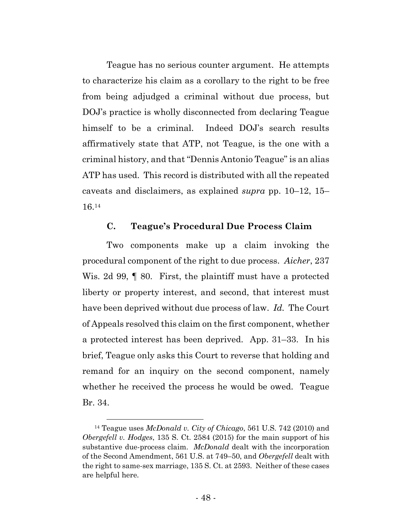Teague has no serious counter argument. He attempts to characterize his claim as a corollary to the right to be free from being adjudged a criminal without due process, but DOJ's practice is wholly disconnected from declaring Teague himself to be a criminal. Indeed DOJ's search results affirmatively state that ATP, not Teague, is the one with a criminal history, and that "Dennis Antonio Teague" is an alias ATP has used. This record is distributed with all the repeated caveats and disclaimers, as explained *supra* pp. 10–12, 15– 16.14

# **C. Teague's Procedural Due Process Claim**

Two components make up a claim invoking the procedural component of the right to due process. *Aicher*, 237 Wis. 2d 99, 9 80. First, the plaintiff must have a protected liberty or property interest, and second, that interest must have been deprived without due process of law. *Id.* The Court of Appeals resolved this claim on the first component, whether a protected interest has been deprived. App. 31–33. In his brief, Teague only asks this Court to reverse that holding and remand for an inquiry on the second component, namely whether he received the process he would be owed. Teague Br. 34.

 <sup>14</sup> Teague uses *McDonald v. City of Chicago*, 561 U.S. 742 (2010) and *Obergefell v. Hodges*, 135 S. Ct. 2584 (2015) for the main support of his substantive due-process claim. *McDonald* dealt with the incorporation of the Second Amendment, 561 U.S. at 749–50, and *Obergefell* dealt with the right to same-sex marriage, 135 S. Ct. at 2593. Neither of these cases are helpful here.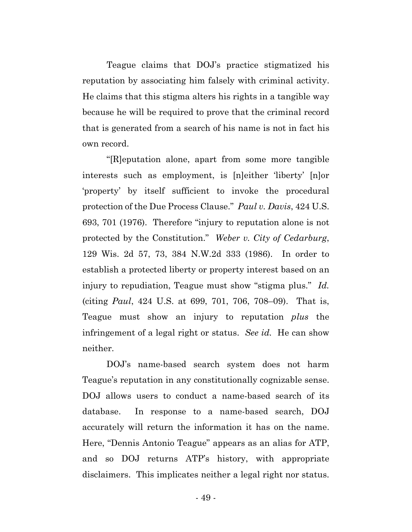Teague claims that DOJ's practice stigmatized his reputation by associating him falsely with criminal activity. He claims that this stigma alters his rights in a tangible way because he will be required to prove that the criminal record that is generated from a search of his name is not in fact his own record.

"[R]eputation alone, apart from some more tangible interests such as employment, is [n]either 'liberty' [n]or 'property' by itself sufficient to invoke the procedural protection of the Due Process Clause." *Paul v. Davis*, 424 U.S. 693, 701 (1976). Therefore "injury to reputation alone is not protected by the Constitution." *Weber v. City of Cedarburg*, 129 Wis. 2d 57, 73, 384 N.W.2d 333 (1986). In order to establish a protected liberty or property interest based on an injury to repudiation, Teague must show "stigma plus." *Id.* (citing *Paul*, 424 U.S. at 699, 701, 706, 708–09). That is, Teague must show an injury to reputation *plus* the infringement of a legal right or status. *See id.* He can show neither.

DOJ's name-based search system does not harm Teague's reputation in any constitutionally cognizable sense. DOJ allows users to conduct a name-based search of its database. In response to a name-based search, DOJ accurately will return the information it has on the name. Here, "Dennis Antonio Teague" appears as an alias for ATP, and so DOJ returns ATP's history, with appropriate disclaimers. This implicates neither a legal right nor status.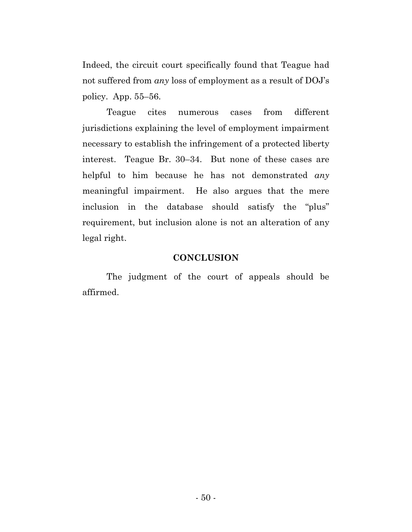Indeed, the circuit court specifically found that Teague had not suffered from *any* loss of employment as a result of DOJ's policy. App. 55–56.

Teague cites numerous cases from different jurisdictions explaining the level of employment impairment necessary to establish the infringement of a protected liberty interest. Teague Br. 30–34. But none of these cases are helpful to him because he has not demonstrated *any*  meaningful impairment. He also argues that the mere inclusion in the database should satisfy the "plus" requirement, but inclusion alone is not an alteration of any legal right.

### **CONCLUSION**

The judgment of the court of appeals should be affirmed.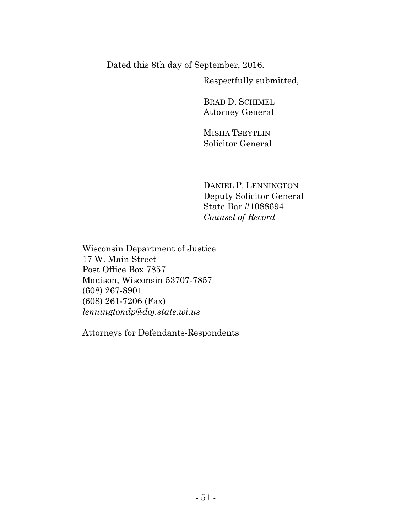Dated this 8th day of September, 2016.

Respectfully submitted,

BRAD D. SCHIMEL Attorney General

MISHA TSEYTLIN Solicitor General

DANIEL P. LENNINGTON Deputy Solicitor General State Bar #1088694 *Counsel of Record*

Wisconsin Department of Justice 17 W. Main Street Post Office Box 7857 Madison, Wisconsin 53707-7857 (608) 267-8901 (608) 261-7206 (Fax) *lenningtondp@doj.state.wi.us* 

Attorneys for Defendants-Respondents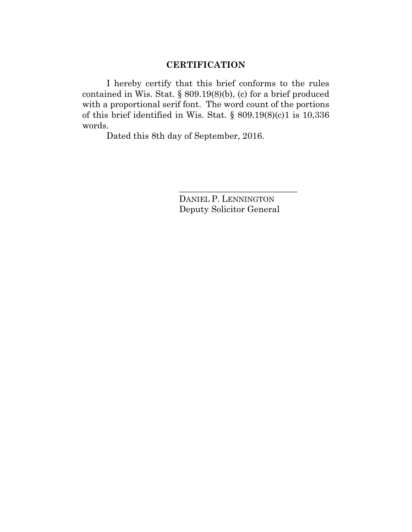# **CERTIFICATION**

I hereby certify that this brief conforms to the rules contained in Wis. Stat. § 809.19(8)(b), (c) for a brief produced with a proportional serif font. The word count of the portions of this brief identified in Wis. Stat. § 809.19(8)(c)1 is 10,336 words.

Dated this 8th day of September, 2016.

DANIEL P. LENNINGTON Deputy Solicitor General

\_\_\_\_\_\_\_\_\_\_\_\_\_\_\_\_\_\_\_\_\_\_\_\_\_\_\_